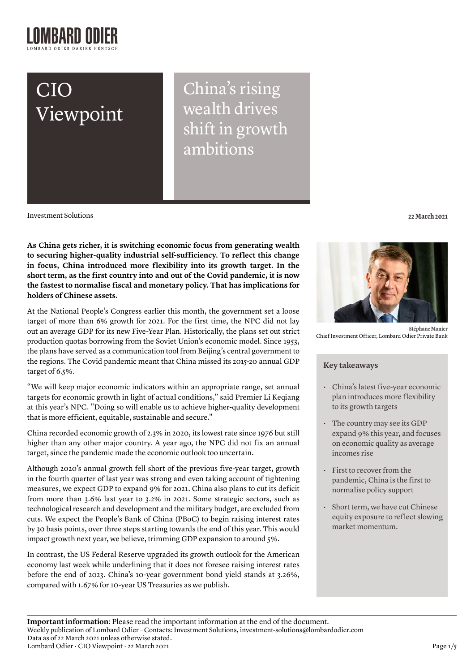# CIO Viewpoint

China's rising wealth drives shift in growth ambitions

Investment Solutions **22 March 2021**

**As China gets richer, it is switching economic focus from generating wealth to securing higher-quality industrial self-sufficiency. To reflect this change in focus, China introduced more flexibility into its growth target. In the short term, as the first country into and out of the Covid pandemic, it is now the fastest to normalise fiscal and monetary policy. That has implications for holders of Chinese assets.** 

At the National People's Congress earlier this month, the government set a loose target of more than 6% growth for 2021. For the first time, the NPC did not lay out an average GDP for its new Five-Year Plan. Historically, the plans set out strict production quotas borrowing from the Soviet Union's economic model. Since 1953, the plans have served as a communication tool from Beijing's central government to the regions. The Covid pandemic meant that China missed its 2015-20 annual GDP target of 6.5%.

"We will keep major economic indicators within an appropriate range, set annual targets for economic growth in light of actual conditions," said Premier Li Keqiang at this year's NPC. "Doing so will enable us to achieve higher-quality development that is more efficient, equitable, sustainable and secure."

China recorded economic growth of 2.3% in 2020, its lowest rate since 1976 but still higher than any other major country. A year ago, the NPC did not fix an annual target, since the pandemic made the economic outlook too uncertain.

Although 2020's annual growth fell short of the previous five-year target, growth in the fourth quarter of last year was strong and even taking account of tightening measures, we expect GDP to expand 9% for 2021. China also plans to cut its deficit from more than 3.6% last year to 3.2% in 2021. Some strategic sectors, such as technological research and development and the military budget, are excluded from cuts. We expect the People's Bank of China (PBoC) to begin raising interest rates by 30 basis points, over three steps starting towards the end of this year. This would impact growth next year, we believe, trimming GDP expansion to around 5%.

In contrast, the US Federal Reserve upgraded its growth outlook for the American economy last week while underlining that it does not foresee raising interest rates before the end of 2023. China's 10-year government bond yield stands at 3.26%, compared with 1.67% for 10-year US Treasuries as we publish.



**Stéphane Monier**  Chief Investment Officer, Lombard Odier Private Bank

# **Key takeaways**

- China's latest five-year economic plan introduces more flexibility to its growth targets
- The country may see its GDP expand 9% this year, and focuses on economic quality as average incomes rise
- First to recover from the pandemic, China is the first to normalise policy support
- Short term, we have cut Chinese equity exposure to reflect slowing market momentum.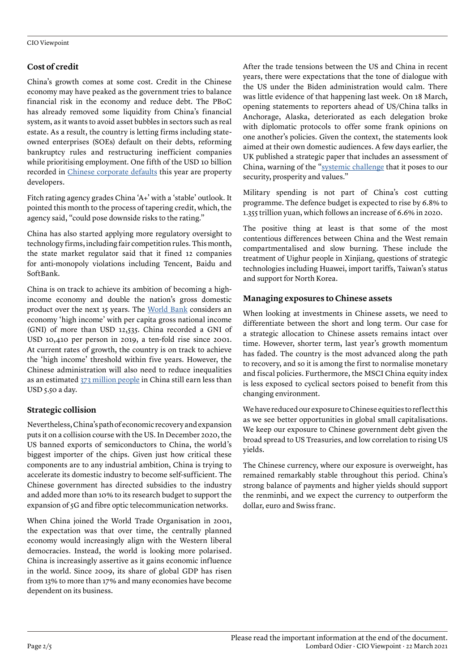# **Cost of credit**

China's growth comes at some cost. Credit in the Chinese economy may have peaked as the government tries to balance financial risk in the economy and reduce debt. The PBoC has already removed some liquidity from China's financial system, as it wants to avoid asset bubbles in sectors such as real estate. As a result, the country is letting firms including stateowned enterprises (SOEs) default on their debts, reforming bankruptcy rules and restructuring inefficient companies while prioritising employment. One fifth of the USD 10 billion recorded in [Chinese corporate defaults](https://www.bloomberg.com/news/articles/2021-03-18/record-defaults-hit-china-s-weakest-firms-as-liquidity-tightens) this year are property developers.

Fitch rating agency grades China 'A+' with a 'stable' outlook. It pointed this month to the process of tapering credit, which, the agency said, "could pose downside risks to the rating."

China has also started applying more regulatory oversight to technology firms, including fair competition rules. This month, the state market regulator said that it fined 12 companies for anti-monopoly violations including Tencent, Baidu and SoftBank.

China is on track to achieve its ambition of becoming a highincome economy and double the nation's gross domestic product over the next 15 years. The [World Bank](https://www.worldbank.org/en/country/china/overview) considers an economy 'high income' with per capita gross national income (GNI) of more than USD 12,535. China recorded a GNI of USD 10,410 per person in 2019, a ten-fold rise since 2001. At current rates of growth, the country is on track to achieve the 'high income' threshold within five years. However, the Chinese administration will also need to reduce inequalities as an estimated [373 million people](https://www.worldbank.org/en/country/china/overview) in China still earn less than USD 5.50 a day.

# **Strategic collision**

Nevertheless, China's path of economic recovery and expansion puts it on a collision course with the US. In December 2020, the US banned exports of semiconductors to China, the world's biggest importer of the chips. Given just how critical these components are to any industrial ambition, China is trying to accelerate its domestic industry to become self-sufficient. The Chinese government has directed subsidies to the industry and added more than 10% to its research budget to support the expansion of 5G and fibre optic telecommunication networks.

When China joined the World Trade Organisation in 2001, the expectation was that over time, the centrally planned economy would increasingly align with the Western liberal democracies. Instead, the world is looking more polarised. China is increasingly assertive as it gains economic influence in the world. Since 2009, its share of global GDP has risen from 13% to more than 17% and many economies have become dependent on its business.

After the trade tensions between the US and China in recent years, there were expectations that the tone of dialogue with the US under the Biden administration would calm. There was little evidence of that happening last week. On 18 March, opening statements to reporters ahead of US/China talks in Anchorage, Alaska, deteriorated as each delegation broke with diplomatic protocols to offer some frank opinions on one another's policies. Given the context, the statements look aimed at their own domestic audiences. A few days earlier, the UK published a strategic paper that includes an assessment of China, warning of the ["systemic challenge](https://www.scmp.com/news/china/diplomacy/article/3125858/global-britain-put-more-attention-china-and-indo-pacific) that it poses to our security, prosperity and values."

Military spending is not part of China's cost cutting programme. The defence budget is expected to rise by 6.8% to 1.355 trillion yuan, which follows an increase of 6.6% in 2020.

The positive thing at least is that some of the most contentious differences between China and the West remain compartmentalised and slow burning. These include the treatment of Uighur people in Xinjiang, questions of strategic technologies including Huawei, import tariffs, Taiwan's status and support for North Korea.

# **Managing exposures to Chinese assets**

When looking at investments in Chinese assets, we need to differentiate between the short and long term. Our case for a strategic allocation to Chinese assets remains intact over time. However, shorter term, last year's growth momentum has faded. The country is the most advanced along the path to recovery, and so it is among the first to normalise monetary and fiscal policies. Furthermore, the MSCI China equity index is less exposed to cyclical sectors poised to benefit from this changing environment.

We have reduced our exposure to Chinese equities to reflect this as we see better opportunities in global small capitalisations. We keep our exposure to Chinese government debt given the broad spread to US Treasuries, and low correlation to rising US yields.

The Chinese currency, where our exposure is overweight, has remained remarkably stable throughout this period. China's strong balance of payments and higher yields should support the renminbi, and we expect the currency to outperform the dollar, euro and Swiss franc.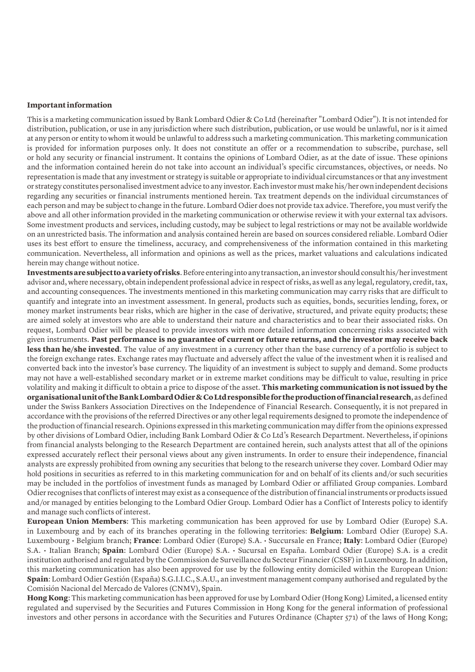#### **Important information**

This is a marketing communication issued by Bank Lombard Odier & Co Ltd (hereinafter "Lombard Odier"). It is not intended for distribution, publication, or use in any jurisdiction where such distribution, publication, or use would be unlawful, nor is it aimed at any person or entity to whom it would be unlawful to address such a marketing communication. This marketing communication is provided for information purposes only. It does not constitute an offer or a recommendation to subscribe, purchase, sell or hold any security or financial instrument. It contains the opinions of Lombard Odier, as at the date of issue. These opinions and the information contained herein do not take into account an individual's specific circumstances, objectives, or needs. No representation is made that any investment or strategy is suitable or appropriate to individual circumstances or that any investment or strategy constitutes personalised investment advice to any investor. Each investor must make his/her own independent decisions regarding any securities or financial instruments mentioned herein. Tax treatment depends on the individual circumstances of each person and may be subject to change in the future. Lombard Odier does not provide tax advice. Therefore, you must verify the above and all other information provided in the marketing communication or otherwise review it with your external tax advisors. Some investment products and services, including custody, may be subject to legal restrictions or may not be available worldwide on an unrestricted basis. The information and analysis contained herein are based on sources considered reliable. Lombard Odier uses its best effort to ensure the timeliness, accuracy, and comprehensiveness of the information contained in this marketing communication. Nevertheless, all information and opinions as well as the prices, market valuations and calculations indicated herein may change without notice.

**Investments are subject to a variety of risks**. Before entering into any transaction, an investor should consult his/her investment advisor and, where necessary, obtain independent professional advice in respect of risks, as well as any legal, regulatory, credit, tax, and accounting consequences. The investments mentioned in this marketing communication may carry risks that are difficult to quantify and integrate into an investment assessment. In general, products such as equities, bonds, securities lending, forex, or money market instruments bear risks, which are higher in the case of derivative, structured, and private equity products; these are aimed solely at investors who are able to understand their nature and characteristics and to bear their associated risks. On request, Lombard Odier will be pleased to provide investors with more detailed information concerning risks associated with given instruments. **Past performance is no guarantee of current or future returns, and the investor may receive back**  less than he/she invested. The value of any investment in a currency other than the base currency of a portfolio is subject to the foreign exchange rates. Exchange rates may fluctuate and adversely affect the value of the investment when it is realised and converted back into the investor's base currency. The liquidity of an investment is subject to supply and demand. Some products may not have a well-established secondary market or in extreme market conditions may be difficult to value, resulting in price volatility and making it difficult to obtain a price to dispose of the asset. **This marketing communication is not issued by the organisational unit of the Bank Lombard Odier & Co Ltd responsible for the production of financial research**, as defined under the Swiss Bankers Association Directives on the Independence of Financial Research. Consequently, it is not prepared in accordance with the provisions of the referred Directives or any other legal requirements designed to promote the independence of the production of financial research. Opinions expressed in this marketing communication may differ from the opinions expressed by other divisions of Lombard Odier, including Bank Lombard Odier & Co Ltd's Research Department. Nevertheless, if opinions from financial analysts belonging to the Research Department are contained herein, such analysts attest that all of the opinions expressed accurately reflect their personal views about any given instruments. In order to ensure their independence, financial analysts are expressly prohibited from owning any securities that belong to the research universe they cover. Lombard Odier may hold positions in securities as referred to in this marketing communication for and on behalf of its clients and/or such securities may be included in the portfolios of investment funds as managed by Lombard Odier or affiliated Group companies. Lombard Odier recognises that conflicts of interest may exist as a consequence of the distribution of financial instruments or products issued and/or managed by entities belonging to the Lombard Odier Group. Lombard Odier has a Conflict of Interests policy to identify and manage such conflicts of interest.

**European Union Members**: This marketing communication has been approved for use by Lombard Odier (Europe) S.A. in Luxembourg and by each of its branches operating in the following territories: **Belgium**: Lombard Odier (Europe) S.A. Luxembourg • Belgium branch; **France**: Lombard Odier (Europe) S.A. • Succursale en France; **Italy**: Lombard Odier (Europe) S.A. • Italian Branch; **Spain**: Lombard Odier (Europe) S.A. • Sucursal en España. Lombard Odier (Europe) S.A. is a credit institution authorised and regulated by the Commission de Surveillance du Secteur Financier (CSSF) in Luxembourg. In addition, this marketing communication has also been approved for use by the following entity domiciled within the European Union: **Spain**: Lombard Odier Gestión (España) S.G.I.I.C., S.A.U., an investment management company authorised and regulated by the Comisión Nacional del Mercado de Valores (CNMV), Spain.

**Hong Kong**: This marketing communication has been approved for use by Lombard Odier (Hong Kong) Limited, a licensed entity regulated and supervised by the Securities and Futures Commission in Hong Kong for the general information of professional investors and other persons in accordance with the Securities and Futures Ordinance (Chapter 571) of the laws of Hong Kong;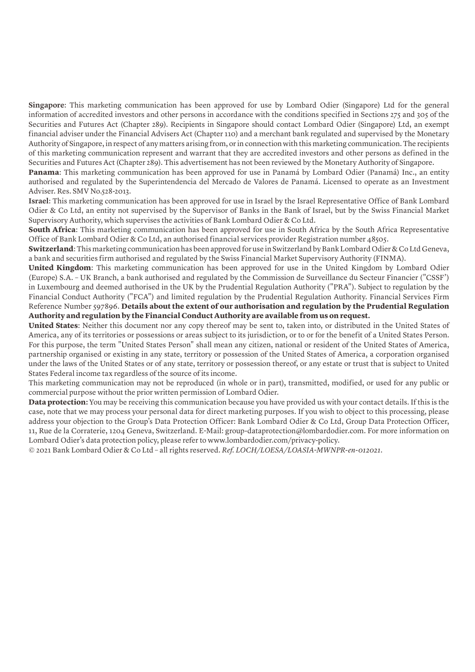**Singapore**: This marketing communication has been approved for use by Lombard Odier (Singapore) Ltd for the general information of accredited investors and other persons in accordance with the conditions specified in Sections 275 and 305 of the Securities and Futures Act (Chapter 289). Recipients in Singapore should contact Lombard Odier (Singapore) Ltd, an exempt financial adviser under the Financial Advisers Act (Chapter 110) and a merchant bank regulated and supervised by the Monetary Authority of Singapore, in respect of any matters arising from, or in connection with this marketing communication. The recipients of this marketing communication represent and warrant that they are accredited investors and other persons as defined in the Securities and Futures Act (Chapter 289). This advertisement has not been reviewed by the Monetary Authority of Singapore.

**Panama**: This marketing communication has been approved for use in Panamá by Lombard Odier (Panamá) Inc., an entity authorised and regulated by the Superintendencia del Mercado de Valores de Panamá. Licensed to operate as an Investment Adviser. Res. SMV No.528-2013.

**Israel**: This marketing communication has been approved for use in Israel by the Israel Representative Office of Bank Lombard Odier & Co Ltd, an entity not supervised by the Supervisor of Banks in the Bank of Israel, but by the Swiss Financial Market Supervisory Authority, which supervises the activities of Bank Lombard Odier & Co Ltd.

**South Africa**: This marketing communication has been approved for use in South Africa by the South Africa Representative Office of Bank Lombard Odier & Co Ltd, an authorised financial services provider Registration number 48505.

**Switzerland**: This marketing communication has been approved for use in Switzerland by Bank Lombard Odier & Co Ltd Geneva, a bank and securities firm authorised and regulated by the Swiss Financial Market Supervisory Authority (FINMA).

**United Kingdom**: This marketing communication has been approved for use in the United Kingdom by Lombard Odier (Europe) S.A. – UK Branch, a bank authorised and regulated by the Commission de Surveillance du Secteur Financier ("CSSF') in Luxembourg and deemed authorised in the UK by the Prudential Regulation Authority ("PRA"). Subject to regulation by the Financial Conduct Authority ("FCA") and limited regulation by the Prudential Regulation Authority. Financial Services Firm Reference Number 597896. **Details about the extent of our authorisation and regulation by the Prudential Regulation Authority and regulation by the Financial Conduct Authority are available from us on request.**

**United States**: Neither this document nor any copy thereof may be sent to, taken into, or distributed in the United States of America, any of its territories or possessions or areas subject to its jurisdiction, or to or for the benefit of a United States Person. For this purpose, the term "United States Person" shall mean any citizen, national or resident of the United States of America, partnership organised or existing in any state, territory or possession of the United States of America, a corporation organised under the laws of the United States or of any state, territory or possession thereof, or any estate or trust that is subject to United States Federal income tax regardless of the source of its income.

This marketing communication may not be reproduced (in whole or in part), transmitted, modified, or used for any public or commercial purpose without the prior written permission of Lombard Odier.

**Data protection:** You may be receiving this communication because you have provided us with your contact details. If this is the case, note that we may process your personal data for direct marketing purposes. If you wish to object to this processing, please address your objection to the Group's Data Protection Officer: Bank Lombard Odier & Co Ltd, Group Data Protection Officer, 11, Rue de la Corraterie, 1204 Geneva, Switzerland. E-Mail: group-dataprotection@lombardodier.com. For more information on Lombard Odier's data protection policy, please refer to www.lombardodier.com/privacy-policy.

© 2021 Bank Lombard Odier & Co Ltd – all rights reserved. *Ref. LOCH/LOESA/LOASIA-MWNPR-en-012021*.